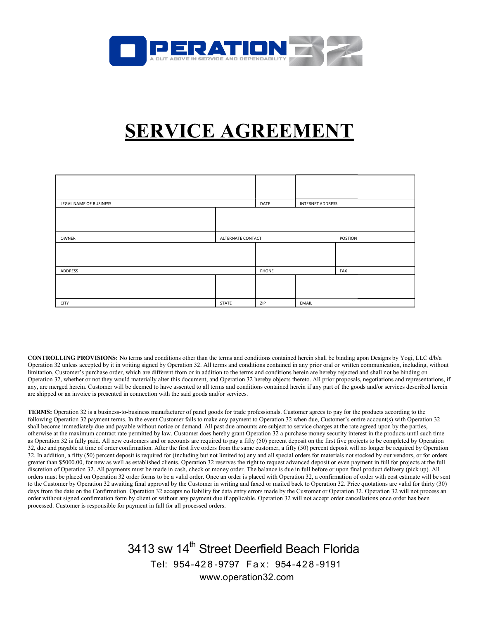

## SERVICE AGREEMENT SERVICE AGREEMENT

| LEGAL NAME OF BUSINESS |                   | DATE  | <b>INTERNET ADDRESS</b> |     |
|------------------------|-------------------|-------|-------------------------|-----|
|                        |                   |       |                         |     |
|                        |                   |       |                         |     |
| OWNER                  | ALTERNATE CONTACT |       | POSTION                 |     |
|                        |                   |       |                         |     |
|                        |                   |       |                         |     |
| ADDRESS                |                   | PHONE |                         | FAX |
|                        |                   |       |                         |     |
|                        |                   |       |                         |     |
|                        |                   |       |                         |     |
| <b>CITY</b>            | STATE             | ZIP   | EMAIL                   |     |

CONTROLLING PROVISIONS: No terms and conditions other than the terms and conditions contained herein shall be binding upon Designs by Yogi, LLC d/b/a **CONTROLLING PROVISIONS:** No terms and conditions other than the terms and conditions contained herein shall be binding upon Designs by Yogi, LLC d/b/a<br>Operation 32 unless accepted by it in writing signed by Operation 32. limitation, Customer's purchase order, which are different from or in addition to the terms and conditions herein are hereby rejected and shall not be binding on Operation 32, whether or not they would materially alter this document, and Operation 32 hereby objects thereto. All prior proposals, negotiations and representations, if Operation 32, whether or not they would materially alter this document, and Operation 32 hereby objects thereto. All prior proposals, negotiat<br>any, are merged herein. Customer will be deemed to have assented to all terms a are shipped or an invoice is presented in connection with the said goods and/or services.

TERMS: Operation 32 is a business-to-business manufacturer of panel goods for trade professionals. Customer agrees to pay for the products according to the are shipped or an invoice is presented in connection with the said goods and/or services.<br>TERMS: Operation 32 is a business-to-business manufacturer of panel goods for trade professionals. Customer agrees to pay for the pr shall become immediately due and payable without notice or demand. All past due amounts are subject to service charges at the rate agreed upon by the parties, otherwise at the maximum contract rate permitted by law. Customer does hereby grant Operation 32 a purchase money security interest in the products until such time as Operation 32 is fully paid. All new customers and or accounts are required to pay a fifty (50) percent deposit on the first five projects to be completed by Operation as Operation 32 is fully paid. All new customers and or accounts are required to pay a fifty (50) percent deposit on the first five projects to be completed by Operation<br>32, due and payable at time of order confirmation. A 32. In addition, a fifty (50) percent deposit is required for (including but not limited to) any and all special orders for materials not stocked by our vendors, or for orders greater than \$5000.00, for new as well as established clients. Operation 32 reserves the right to request advanced deposit or even payment in full for projects at the full discretion of Operation 32. All payments must be made in cash, check or money order. The balance is due in full before or upon final product delivery (pick up). All orders must be placed on Operation 32 order forms to be a valid order. Once an order is placed with Operation 32, a confirmation of order with cost estimate will be sent 32. In addition, a fifty (50) percent deposit is required for (including but not limited to) any and all special orders for materials not stocked by our vendors, or for orders greater than \$5000.00, for new as well as esta days from the date on the Confirmation. Operation 32 accepts no liability for data entry errors made by the Customer or Operation 32. Operation 32 will not process an order without signed confirmation form by client or without any payment due if applicable. Operation 32 will not accept order cancellations once order has been processed. Customer is responsible for payment in full for all processed orders. d conditions contained in any prior oral or written communication, including, without trion and conditions herein are hereby rejected and shall not be binding on the terms and conditions ortained herein ir fany part of the 32 when due, Customer's entire account(s) with Operation 32 to service charges at the rate agreed upon by the parties, urchase money security interest in the products until such time deposit on the first five projects to b

3413 sw 14<sup>th</sup> Street Deerfield Beach Florida Tel: 95 954 - 42 8 - 9797 F a x : 954 - 42 8 - 9191 www.operation32.com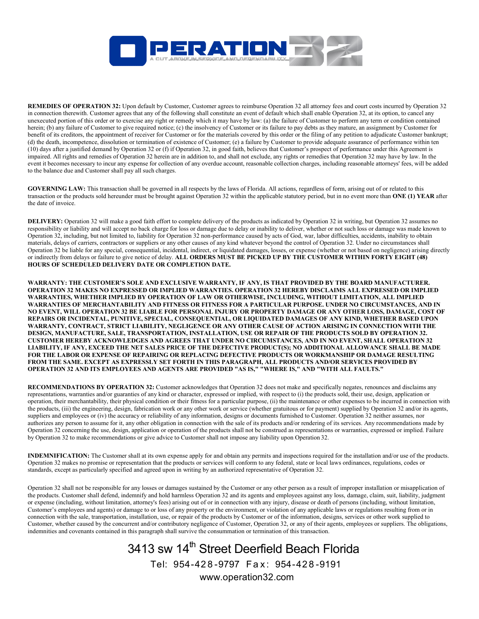

**REMEDIES OF OPERATION 32:** Upon default by Customer, Customer agrees to reimburse Operation 32 all attorney fees and court costs incurred by Operation 3.<br>in connection therewith. Customer agrees that any of the following in connection therewith. Customer agrees that any of the following shall constitute an event of default which shall enable Operation 32, at its option, to cancel any unexecuted portion of this order or to exercise any right or remedy which it may have by law: (a) the failure of Customer to perform any term or condition contained herein; (b) any failure of Customer to give required notice; (c) the insolvency of Customer or its failure to pay debts as they mature, an assignment by Customer for herein; (b) any failure of Customer to give required notice; (c) the insolvency of Customer or its failure to pay debts as they mature, an assignment by Customer for<br>benefit of its creditors, the appointment of receiver fo (d) the death, incompetence, dissolution or termination of existence of Customer; (e) a failure by Customer to provide adequate assurance of performance within ten (10) days after a justified demand by Operation 32 or (f) if Operation 32, in good faith, believes that Customer's prospect of performance under this Agreement is impaired. All rights and remedies of Operation 32 herein are in addition to, and shall not exclude, any rights or remedies that Operation 32 may have by law. event it becomes necessary to incur any expense for collection of any overdue account, reasonable collection charges, including reasonable attorneys' fees, will be added to the balance due and Customer shall pay all such charges. Ether Operation 32, at its option, to cancel any<br>it to perform any term or condition contained<br>hey mature, an assignment by Customer for<br>f any petition to adjudicate Customer bankrupt; tence of Customer; (e) a failure by Customer to provide adequate assurance of performance within ten<br>eration 32, in good faith, believes that Customer's prospect of performance under this Agreement is<br>n addition to, and sh

GOVERNING LAW: This transaction shall be governed in all respects by the laws of Florida. All actions, regardless of form, arising out of or related to this GOVERNING LAW: This transaction shall be governed in all respects by the laws of Florida. All actions, regardless of form, arising out of or related to this transaction or the products sold hereunder must be brought agains the date of invoice.

DELIVERY: Operation 32 will make a good faith effort to complete delivery of the products as indicated by Operation 32 in writing, but Operation 32 assumes no responsibility or liability and will accept no back charge for loss or damage due to delay or inability to deliver, whether or not such loss or damage was made known to **DELIVERY:** Operation 32 will make a good faith effort to complete delivery of the products as indicated by Operation 32 in writing, but Operation 32 assumes n<br>responsibility or liability and will accept no back charge for materials, delays of carriers, contractors or suppliers or any other causes of any kind whatever beyond the control of Operation 32. Under no circumstances shall Operation 32, including, but not limited to, liability for Operation 32 non-performance caused by acts of God, war, labor difficulties, accidents, inability to obtain<br>materials, delays of carriers, contractors or suppliers or indirectly from delays or failure to give notice of delay. ALL ORDERS MUST BE PICKED UP BY THE CUSTOMER WITHIN FORTY EIGHT (48)<br>HOURS OF SCHEDULED DELIVERY DATE OR COMPLETION DATE. HOURS OF SCHEDULED DELIVERY DATE OR COMPLETION DATE.

WARRANTY: THE CUSTOMER'S SOLE AND EXCLUSIVE WARRANTY, IF ANY, IS THAT PROVIDED BY THE BOARD MANUFACTURER. WARRANTY: WARRANTY, IF BOARD MANUFACTURER. OPERATION 32 MAKES NO EXPRESSED OR IMPLIED WARRANTIES. OPERATION 32 HEREBY DISCLAIMS ALL EXPRESSED OR IMPLIED WARRANTIES, WHETHER IMPLIED BY OPERATION OF LAW OR OTHERWISE, INCLUDING, WITHOUT LIMITATION, ALL IMPLIED WARRANTIES OF MERCHANTABILITY AND FITNESS OR FITNESS FOR A PARTICULAR PURPOSE. UNDER NO CIRCUMSTANCES, AND IN NO EVENT, WILL OPERATION 32 BE LIABLE FOR PERSONAL INJURY OR PROPERTY DAMAGE OR ANY OTHER LOSS, DAMAGE, COST OF REPAIRS OR INCIDENTAL, PUNITIVE, SPECIAL, CONSEQUENTIAL, OR LIQUIDATED DAMAGES OF ANY KIND, WHETHER BASED UPON WARRANTY, CONTRACT, STRICT LIABILITY, NEGLIGENCE OR ANY OTHER CAUSE OF ACTION ARISING IN CONNECTION WITH THE DESIGN, MANUFACTURE, SALE, TRANSPORTATION, INSTALLATION, USE OR REPAIR OF THE PRODUCTS SOLD BY OPERATION 32. CUSTOMER HEREBY ACKNOWLEDGES AND AGREES THAT UNDER NO CIRCUMSTANCES, AND IN NO EVENT, SH LIABILITY, IF ANY, EXCEED THE NET SALES PRICE OF THE DEFECTIVE PRODUCT(S); NO ADDITIONAL ALLOWANCE SHALL BE MADE FOR THE LABOR OR EXPENSE OF REPAIRING OR REPLACING DEFECTIVE PRODUCTS OR WORKMANSHIP OR DAMAGE RESULTING FROM THE SAME. EXCEPT AS EXPRESSLY SET FORTH IN THIS PARAGRAPH, ALL PRODUCTS AND/OR SERVICES PROVIDED BY OPERATION 32 AND ITS EMPLOYEES AND AGENTS ARE PROVIDED "AS IS," "WHERE IS," AND "WITH ALL FAULTS." WARRANTIES, WHETHER IMPLIED BY OPERATION OF LAW OR OTHERWISE, INCLUDING, WITHOUT LIMITATION, ALL IMPLIED<br>WARRANTIES OF MERCHANTABILITY AND FITNESS OR FITNESS FOR A PARTICULAR PURPOSE. UNDER NO CIRCUMSTANCES, AND IN<br>NO EVEN DESIGN, MANUFACTURE, SALE, TRANSPORTATION, INSTALLATION, USE OR REPAIR OF THE PRODUCTS SOLD BY OPERATION 32.<br>CUSTOMER HEREBY ACKNOWLEDGES AND AGREES THAT UNDER NO CIRCUMSTANCES, AND IN NO EVENT, SHALL OPERATION 32<br>LIABILIT to coinvluste Operation 32 all attorney fixes and court costs insured by Operation 32<br>an event of definit which shall one he Operation 32, at its option, to cancel any<br>an event of definit which shall onable Operation 32, a R ANY OTHER CAUSE OF ACTION ARISING IN CONNECTION WITH THE<br>ATION, USE OR REPAIR OF THE PRODUCTS SOLD BY OPERATION 32.<br>NDER NO CIRCUMSTANCES, AND IN NO EVENT, SHALL OPERATION 32

RECOMMENDATIONS BY OPERATION 32: Customer acknowledges that Operation 32 does not make and specifically negates, renounces and disclaims any representations, warranties and/or guaranties of any kind or character, expressed or implied, with respect to (i) the products sold, their use, design, application or **RECOMMENDATIONS BY OPERATION 32:** Customer acknowledges that Operation 32 does not make and specifically negates, renounces and disclaims any representations, warranties and/or guaranties of any kind or character, express the products, (iii) the engineering, design, fabrication work or any other work or service (whether gratuitous or for payment) supplied by Operation 32 and/or its agents, the products, (iii) the engineering, design, fabrication work or any other work or service (whether gratuitous or for payment) supplied by Operation 32 and/or its agents, suppliers and employees or (iv) the accuracy or rel authorizes any person to assume for it, any other obligation in connection with the sale of its products and/or rendering of its services. Any recommendations made by authorizes any person to assume for it, any other obligation in connection with the sale of its products and/or rendering of its services. Any recommendations made by<br>Operation 32 concerning the use, design, application or by Operation 32 to make recommendations or give advice to Customer shall not impose any liability upon Operation 32.

INDEMNIFICATION: The Customer shall at its own expense apply for and obtain any permits and inspections required for the installation and/or use of the products. Operation 32 makes no promise or representation that the products or services will conform to any federal, state or local laws ordinances, regulations, codes or standards, except as particularly specified and agreed upon in writing by an authorized representative of Operation 32. nstrued as representations or warranties, expressed or implied. Failure<br>ility upon Operation 32.<br>s and inspections required for the installation and/or use of the products<br>ny federal, state or local laws ordinances, regula

Operation 32 shall not be responsible for any losses or damages sustained by the Customer or any other person as a result of improper installation or misa the products. Customer shall defend, indemnify and hold harmless Operation 32 and its agents and employees against any loss, damage, claim, suit, liability, judgment or expense (including, without limitation, attorney's fees) arising out of or in connection with any injury, disease or death of persons (including, without limitation, Customer's employees and agents) or damage to or loss of any property or the environment, or violation of any applicable laws or regulations resulting from or in connection with the sale, transportation, installation, use, or repair of the products by Customer or of the information, designs, services or other work supplied to Customer, whether caused by the concurrent and/or contributory negligence of Customer, Operation 32, or any of their agents, employees or suppliers. The obligations, indemnities and covenants contained in this paragraph shall survive the consummation or termination of this transaction. tion 32 and its agents and employees against any loss, damage, claim, suit, liability, r in connection with any injury, disease or death of persons (including, without limit or the environment, or violation of any applicab

## 3413 sw 14<sup>th</sup> Street Deerfield Beach Florida Tel: 95 954 - 42 8 - 9797 F a x : 954 - 42 8 - 9191 www.operation32.com